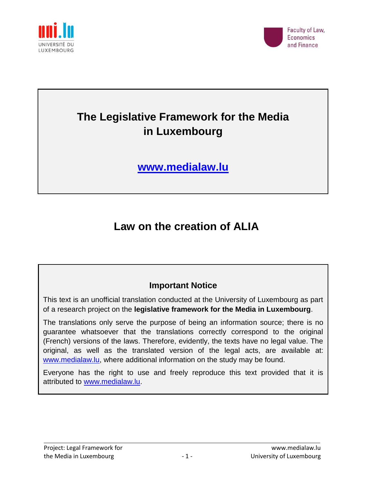



# **The Legislative Framework for the Media in Luxembourg**

**[www.medialaw.lu](http://www.medialaw.lu/)**

## **Law on the creation of ALIA**

### **Important Notice**

This text is an unofficial translation conducted at the University of Luxembourg as part of a research project on the **legislative framework for the Media in Luxembourg**.

The translations only serve the purpose of being an information source; there is no guarantee whatsoever that the translations correctly correspond to the original (French) versions of the laws. Therefore, evidently, the texts have no legal value. The original, as well as the translated version of the legal acts, are available at: [www.medialaw.lu,](http://www.medialaw.lu/) where additional information on the study may be found.

Everyone has the right to use and freely reproduce this text provided that it is attributed to [www.medialaw.lu.](http://www.medialaw.lu/)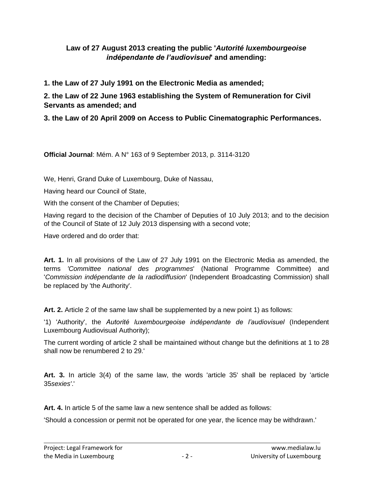#### **Law of 27 August 2013 creating the public '***Autorité luxembourgeoise indépendante de l'audiovisuel***' and amending:**

**1. the Law of 27 July 1991 on the Electronic Media as amended;**

**2. the Law of 22 June 1963 establishing the System of Remuneration for Civil Servants as amended; and**

**3. the Law of 20 April 2009 on Access to Public Cinematographic Performances.**

**Official Journal**: Mém. A N° 163 of 9 September 2013, p. 3114-3120

We, Henri, Grand Duke of Luxembourg, Duke of Nassau,

Having heard our Council of State,

With the consent of the Chamber of Deputies;

Having regard to the decision of the Chamber of Deputies of 10 July 2013; and to the decision of the Council of State of 12 July 2013 dispensing with a second vote;

Have ordered and do order that:

**Art. 1.** In all provisions of the Law of 27 July 1991 on the Electronic Media as amended, the terms *'Committee national des programmes*' (National Programme Committee) and '*Commission indépendante de la radiodiffusion*' (Independent Broadcasting Commission) shall be replaced by 'the Authority'.

**Art. 2.** Article 2 of the same law shall be supplemented by a new point 1) as follows:

'1) 'Authority', the *Autorité luxembourgeoise indépendante de l'audiovisuel* (Independent Luxembourg Audiovisual Authority);

The current wording of article 2 shall be maintained without change but the definitions at 1 to 28 shall now be renumbered 2 to 29.'

**Art. 3.** In article 3(4) of the same law, the words 'article 35' shall be replaced by 'article 35*sexies'*.'

**Art. 4.** In article 5 of the same law a new sentence shall be added as follows:

'Should a concession or permit not be operated for one year, the licence may be withdrawn.'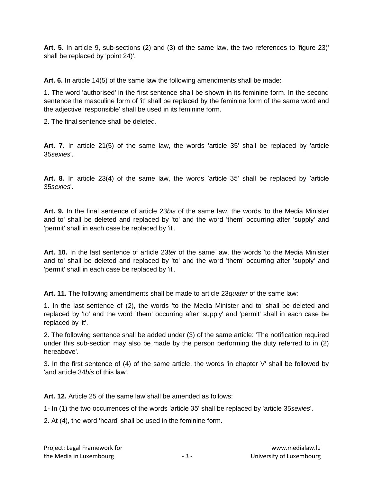**Art. 5.** In article 9, sub-sections (2) and (3) of the same law, the two references to 'figure 23)' shall be replaced by 'point 24)'.

**Art. 6.** In article 14(5) of the same law the following amendments shall be made:

1. The word 'authorised' in the first sentence shall be shown in its feminine form. In the second sentence the masculine form of 'it' shall be replaced by the feminine form of the same word and the adjective 'responsible' shall be used in its feminine form.

2. The final sentence shall be deleted.

**Art. 7.** In article 21(5) of the same law, the words 'article 35' shall be replaced by 'article 35*sexies*'.

**Art. 8.** In article 23(4) of the same law, the words 'article 35' shall be replaced by 'article 35*sexies*'.

**Art. 9.** In the final sentence of article 23*bis* of the same law, the words 'to the Media Minister and to' shall be deleted and replaced by 'to' and the word 'them' occurring after 'supply' and 'permit' shall in each case be replaced by 'it'.

**Art. 10.** In the last sentence of article 23*ter* of the same law, the words 'to the Media Minister and to' shall be deleted and replaced by 'to' and the word 'them' occurring after 'supply' and 'permit' shall in each case be replaced by 'it'.

**Art. 11.** The following amendments shall be made to article 23*quater* of the same law:

1. In the last sentence of (2), the words 'to the Media Minister and to' shall be deleted and replaced by 'to' and the word 'them' occurring after 'supply' and 'permit' shall in each case be replaced by 'it'.

2. The following sentence shall be added under (3) of the same article: 'The notification required under this sub-section may also be made by the person performing the duty referred to in (2) hereabove'.

3. In the first sentence of (4) of the same article, the words 'in chapter V' shall be followed by 'and article 34*bis* of this law'.

**Art. 12.** Article 25 of the same law shall be amended as follows:

1- In (1) the two occurrences of the words 'article 35' shall be replaced by 'article 35*sexies*'.

2. At (4), the word 'heard' shall be used in the feminine form.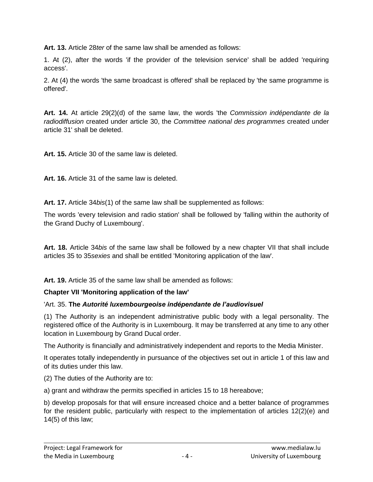**Art. 13.** Article 28*ter* of the same law shall be amended as follows:

1. At (2), after the words 'if the provider of the television service' shall be added 'requiring access'.

2. At (4) the words 'the same broadcast is offered' shall be replaced by 'the same programme is offered'.

**Art. 14.** At article 29(2)(d) of the same law, the words 'the *Commission indépendante de la radiodiffusion* created under article 30, the *Committee national des programmes* created under article 31' shall be deleted.

**Art. 15.** Article 30 of the same law is deleted.

**Art. 16.** Article 31 of the same law is deleted.

**Art. 17.** Article 34*bis*(1) of the same law shall be supplemented as follows:

The words 'every television and radio station' shall be followed by 'falling within the authority of the Grand Duchy of Luxembourg'.

**Art. 18.** Article 34*bis* of the same law shall be followed by a new chapter VII that shall include articles 35 to 35*sexies* and shall be entitled 'Monitoring application of the law'.

**Art. 19.** Article 35 of the same law shall be amended as follows:

#### **Chapter VII 'Monitoring application of the law'**

#### 'Art. 35. **The** *Autorité luxembourgeoise indépendante de l'audiovisuel*

(1) The Authority is an independent administrative public body with a legal personality. The registered office of the Authority is in Luxembourg. It may be transferred at any time to any other location in Luxembourg by Grand Ducal order.

The Authority is financially and administratively independent and reports to the Media Minister.

It operates totally independently in pursuance of the objectives set out in article 1 of this law and of its duties under this law.

(2) The duties of the Authority are to:

a) grant and withdraw the permits specified in articles 15 to 18 hereabove;

b) develop proposals for that will ensure increased choice and a better balance of programmes for the resident public, particularly with respect to the implementation of articles 12(2)(e) and 14(5) of this law;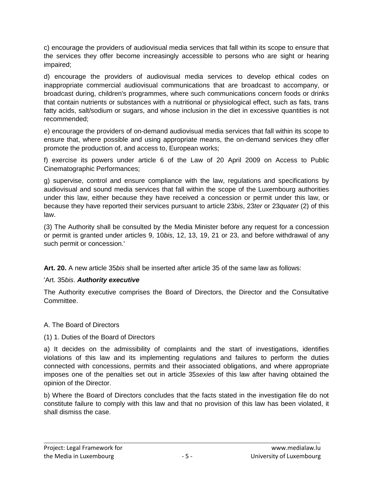c) encourage the providers of audiovisual media services that fall within its scope to ensure that the services they offer become increasingly accessible to persons who are sight or hearing impaired;

d) encourage the providers of audiovisual media services to develop ethical codes on inappropriate commercial audiovisual communications that are broadcast to accompany, or broadcast during, children's programmes, where such communications concern foods or drinks that contain nutrients or substances with a nutritional or physiological effect, such as fats, trans fatty acids, salt/sodium or sugars, and whose inclusion in the diet in excessive quantities is not recommended;

e) encourage the providers of on-demand audiovisual media services that fall within its scope to ensure that, where possible and using appropriate means, the on-demand services they offer promote the production of, and access to, European works;

f) exercise its powers under article 6 of the Law of 20 April 2009 on Access to Public Cinematographic Performances;

g) supervise, control and ensure compliance with the law, regulations and specifications by audiovisual and sound media services that fall within the scope of the Luxembourg authorities under this law, either because they have received a concession or permit under this law, or because they have reported their services pursuant to article 23*bis*, 23*ter* or 23*quater* (2) of this law.

(3) The Authority shall be consulted by the Media Minister before any request for a concession or permit is granted under articles 9, 10*bis*, 12, 13, 19, 21 or 23, and before withdrawal of any such permit or concession.'

**Art. 20.** A new article 35*bis* shall be inserted after article 35 of the same law as follows:

#### 'Art. 35*bis*. *Authority executive*

The Authority executive comprises the Board of Directors, the Director and the Consultative Committee.

#### A. The Board of Directors

#### (1) 1. Duties of the Board of Directors

a) It decides on the admissibility of complaints and the start of investigations, identifies violations of this law and its implementing regulations and failures to perform the duties connected with concessions, permits and their associated obligations, and where appropriate imposes one of the penalties set out in article 35*sexies* of this law after having obtained the opinion of the Director.

b) Where the Board of Directors concludes that the facts stated in the investigation file do not constitute failure to comply with this law and that no provision of this law has been violated, it shall dismiss the case.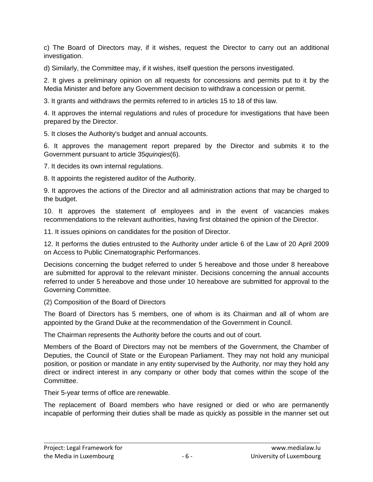c) The Board of Directors may, if it wishes, request the Director to carry out an additional investigation.

d) Similarly, the Committee may, if it wishes, itself question the persons investigated.

2. It gives a preliminary opinion on all requests for concessions and permits put to it by the Media Minister and before any Government decision to withdraw a concession or permit.

3. It grants and withdraws the permits referred to in articles 15 to 18 of this law.

4. It approves the internal regulations and rules of procedure for investigations that have been prepared by the Director.

5. It closes the Authority's budget and annual accounts.

6. It approves the management report prepared by the Director and submits it to the Government pursuant to article 35*quinqies*(6).

7. It decides its own internal regulations.

8. It appoints the registered auditor of the Authority.

9. It approves the actions of the Director and all administration actions that may be charged to the budget.

10. It approves the statement of employees and in the event of vacancies makes recommendations to the relevant authorities, having first obtained the opinion of the Director.

11. It issues opinions on candidates for the position of Director.

12. It performs the duties entrusted to the Authority under article 6 of the Law of 20 April 2009 on Access to Public Cinematographic Performances.

Decisions concerning the budget referred to under 5 hereabove and those under 8 hereabove are submitted for approval to the relevant minister. Decisions concerning the annual accounts referred to under 5 hereabove and those under 10 hereabove are submitted for approval to the Governing Committee.

(2) Composition of the Board of Directors

The Board of Directors has 5 members, one of whom is its Chairman and all of whom are appointed by the Grand Duke at the recommendation of the Government in Council.

The Chairman represents the Authority before the courts and out of court.

Members of the Board of Directors may not be members of the Government, the Chamber of Deputies, the Council of State or the European Parliament. They may not hold any municipal position, or position or mandate in any entity supervised by the Authority, nor may they hold any direct or indirect interest in any company or other body that comes within the scope of the Committee.

Their 5-year terms of office are renewable.

The replacement of Board members who have resigned or died or who are permanently incapable of performing their duties shall be made as quickly as possible in the manner set out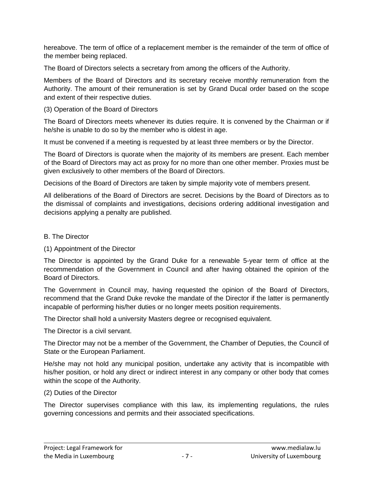hereabove. The term of office of a replacement member is the remainder of the term of office of the member being replaced.

The Board of Directors selects a secretary from among the officers of the Authority.

Members of the Board of Directors and its secretary receive monthly remuneration from the Authority. The amount of their remuneration is set by Grand Ducal order based on the scope and extent of their respective duties.

#### (3) Operation of the Board of Directors

The Board of Directors meets whenever its duties require. It is convened by the Chairman or if he/she is unable to do so by the member who is oldest in age.

It must be convened if a meeting is requested by at least three members or by the Director.

The Board of Directors is quorate when the majority of its members are present. Each member of the Board of Directors may act as proxy for no more than one other member. Proxies must be given exclusively to other members of the Board of Directors.

Decisions of the Board of Directors are taken by simple majority vote of members present.

All deliberations of the Board of Directors are secret. Decisions by the Board of Directors as to the dismissal of complaints and investigations, decisions ordering additional investigation and decisions applying a penalty are published.

#### B. The Director

#### (1) Appointment of the Director

The Director is appointed by the Grand Duke for a renewable 5-year term of office at the recommendation of the Government in Council and after having obtained the opinion of the Board of Directors.

The Government in Council may, having requested the opinion of the Board of Directors, recommend that the Grand Duke revoke the mandate of the Director if the latter is permanently incapable of performing his/her duties or no longer meets position requirements.

The Director shall hold a university Masters degree or recognised equivalent.

The Director is a civil servant.

The Director may not be a member of the Government, the Chamber of Deputies, the Council of State or the European Parliament.

He/she may not hold any municipal position, undertake any activity that is incompatible with his/her position, or hold any direct or indirect interest in any company or other body that comes within the scope of the Authority.

#### (2) Duties of the Director

The Director supervises compliance with this law, its implementing regulations, the rules governing concessions and permits and their associated specifications.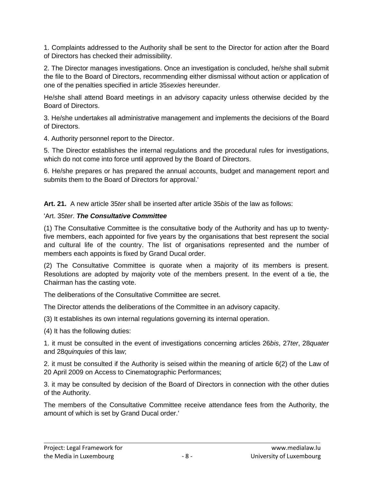1. Complaints addressed to the Authority shall be sent to the Director for action after the Board of Directors has checked their admissibility.

2. The Director manages investigations. Once an investigation is concluded, he/she shall submit the file to the Board of Directors, recommending either dismissal without action or application of one of the penalties specified in article 35*sexies* hereunder.

He/she shall attend Board meetings in an advisory capacity unless otherwise decided by the Board of Directors.

3. He/she undertakes all administrative management and implements the decisions of the Board of Directors.

4. Authority personnel report to the Director.

5. The Director establishes the internal regulations and the procedural rules for investigations, which do not come into force until approved by the Board of Directors.

6. He/she prepares or has prepared the annual accounts, budget and management report and submits them to the Board of Directors for approval.'

**Art. 21.** A new article 35*ter* shall be inserted after article 35*bis* of the law as follows:

#### 'Art. 35*ter*. *The Consultative Committee*

(1) The Consultative Committee is the consultative body of the Authority and has up to twentyfive members, each appointed for five years by the organisations that best represent the social and cultural life of the country. The list of organisations represented and the number of members each appoints is fixed by Grand Ducal order.

(2) The Consultative Committee is quorate when a majority of its members is present. Resolutions are adopted by majority vote of the members present. In the event of a tie, the Chairman has the casting vote.

The deliberations of the Consultative Committee are secret.

The Director attends the deliberations of the Committee in an advisory capacity.

(3) It establishes its own internal regulations governing its internal operation.

(4) It has the following duties:

1. it must be consulted in the event of investigations concerning articles 26*bis*, 27*ter*, 28*quater*  and 28*quinquies* of this law;

2. it must be consulted if the Authority is seised within the meaning of article 6(2) of the Law of 20 April 2009 on Access to Cinematographic Performances;

3. it may be consulted by decision of the Board of Directors in connection with the other duties of the Authority.

The members of the Consultative Committee receive attendance fees from the Authority, the amount of which is set by Grand Ducal order.'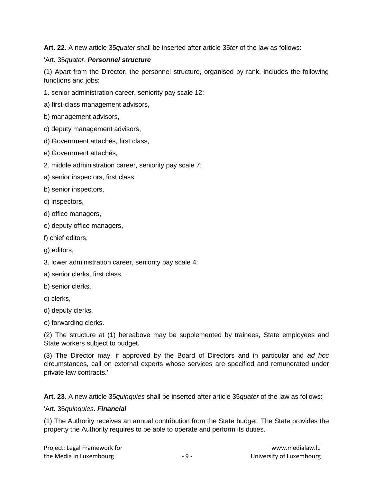**Art. 22.** A new article 35*quater* shall be inserted after article 35*ter* of the law as follows:

#### 'Art. 35*quater*. *Personnel structure*

(1) Apart from the Director, the personnel structure, organised by rank, includes the following functions and jobs:

- 1. senior administration career, seniority pay scale 12:
- a) first-class management advisors,
- b) management advisors,
- c) deputy management advisors,
- d) Government attachés, first class,
- e) Government attachés,
- 2. middle administration career, seniority pay scale 7:
- a) senior inspectors, first class,
- b) senior inspectors,
- c) inspectors,
- d) office managers,
- e) deputy office managers,
- f) chief editors,
- g) editors,
- 3. lower administration career, seniority pay scale 4:
- a) senior clerks, first class,
- b) senior clerks,
- c) clerks,
- d) deputy clerks,
- e) forwarding clerks.

(2) The structure at (1) hereabove may be supplemented by trainees, State employees and State workers subject to budget.

(3) The Director may, if approved by the Board of Directors and in particular and *ad hoc* circumstances, call on external experts whose services are specified and remunerated under private law contracts.'

**Art. 23.** A new article 35*quinquies* shall be inserted after article 35*quater* of the law as follows:

#### 'Art. 35*quinquies*. *Financial*

(1) The Authority receives an annual contribution from the State budget. The State provides the property the Authority requires to be able to operate and perform its duties.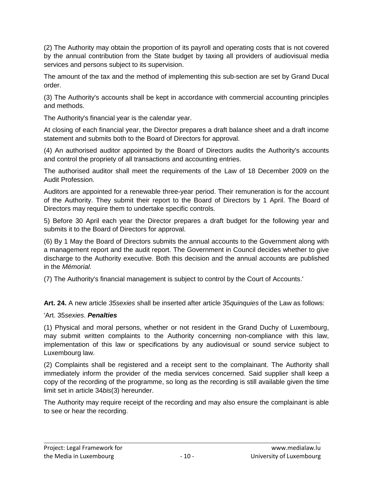(2) The Authority may obtain the proportion of its payroll and operating costs that is not covered by the annual contribution from the State budget by taxing all providers of audiovisual media services and persons subject to its supervision.

The amount of the tax and the method of implementing this sub-section are set by Grand Ducal order.

(3) The Authority's accounts shall be kept in accordance with commercial accounting principles and methods.

The Authority's financial year is the calendar year.

At closing of each financial year, the Director prepares a draft balance sheet and a draft income statement and submits both to the Board of Directors for approval.

(4) An authorised auditor appointed by the Board of Directors audits the Authority's accounts and control the propriety of all transactions and accounting entries.

The authorised auditor shall meet the requirements of the Law of 18 December 2009 on the Audit Profession.

Auditors are appointed for a renewable three-year period. Their remuneration is for the account of the Authority. They submit their report to the Board of Directors by 1 April. The Board of Directors may require them to undertake specific controls.

5) Before 30 April each year the Director prepares a draft budget for the following year and submits it to the Board of Directors for approval.

(6) By 1 May the Board of Directors submits the annual accounts to the Government along with a management report and the audit report. The Government in Council decides whether to give discharge to the Authority executive. Both this decision and the annual accounts are published in the *Mémorial*.

(7) The Authority's financial management is subject to control by the Court of Accounts.'

**Art. 24.** A new article *35sexies* shall be inserted after article 35*quinquies* of the Law as follows:

#### 'Art. 35*sexies*. *Penalties*

(1) Physical and moral persons, whether or not resident in the Grand Duchy of Luxembourg, may submit written complaints to the Authority concerning non-compliance with this law, implementation of this law or specifications by any audiovisual or sound service subject to Luxembourg law.

(2) Complaints shall be registered and a receipt sent to the complainant. The Authority shall immediately inform the provider of the media services concerned. Said supplier shall keep a copy of the recording of the programme, so long as the recording is still available given the time limit set in article 34*bis*(3) hereunder.

The Authority may require receipt of the recording and may also ensure the complainant is able to see or hear the recording.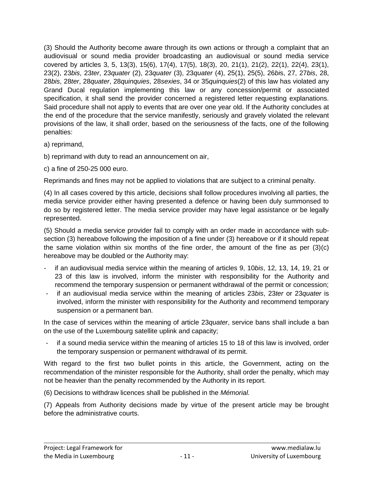(3) Should the Authority become aware through its own actions or through a complaint that an audiovisual or sound media provider broadcasting an audiovisual or sound media service covered by articles 3, 5, 13(3), 15(6), 17(4), 17(5), 18(3), 20, 21(1), 21(2), 22(1), 22(4), 23(1), 23(2), 23*bis*, 23*ter*, 23*quater* (2), 23*quater* (3), 23*quater* (4), 25(1), 25(5), 26*bi*s, 27, 27*bis*, 28, 28*bis*, 28*ter*, 28*quater*, 28*quinquies*, 28*sexies*, 34 or 35*quinquies*(2) of this law has violated any Grand Ducal regulation implementing this law or any concession/permit or associated specification, it shall send the provider concerned a registered letter requesting explanations. Said procedure shall not apply to events that are over one year old. If the Authority concludes at the end of the procedure that the service manifestly, seriously and gravely violated the relevant provisions of the law, it shall order, based on the seriousness of the facts, one of the following penalties:

- a) reprimand,
- b) reprimand with duty to read an announcement on air,
- c) a fine of 250-25 000 euro.

Reprimands and fines may not be applied to violations that are subject to a criminal penalty.

(4) In all cases covered by this article, decisions shall follow procedures involving all parties, the media service provider either having presented a defence or having been duly summonsed to do so by registered letter. The media service provider may have legal assistance or be legally represented.

(5) Should a media service provider fail to comply with an order made in accordance with subsection (3) hereabove following the imposition of a fine under (3) hereabove or if it should repeat the same violation within six months of the fine order, the amount of the fine as per (3)(c) hereabove may be doubled or the Authority may:

- if an audiovisual media service within the meaning of articles 9, 10*bis*, 12, 13, 14, 19, 21 or 23 of this law is involved, inform the minister with responsibility for the Authority and recommend the temporary suspension or permanent withdrawal of the permit or concession;
- if an audiovisual media service within the meaning of articles 23*bis*, 23*ter* or 23*quater* is involved, inform the minister with responsibility for the Authority and recommend temporary suspension or a permanent ban.

In the case of services within the meaning of article 23*quater*, service bans shall include a ban on the use of the Luxembourg satellite uplink and capacity;

- if a sound media service within the meaning of articles 15 to 18 of this law is involved, order the temporary suspension or permanent withdrawal of its permit.

With regard to the first two bullet points in this article, the Government, acting on the recommendation of the minister responsible for the Authority, shall order the penalty, which may not be heavier than the penalty recommended by the Authority in its report.

(6) Decisions to withdraw licences shall be published in the *Mémorial.*

(7) Appeals from Authority decisions made by virtue of the present article may be brought before the administrative courts.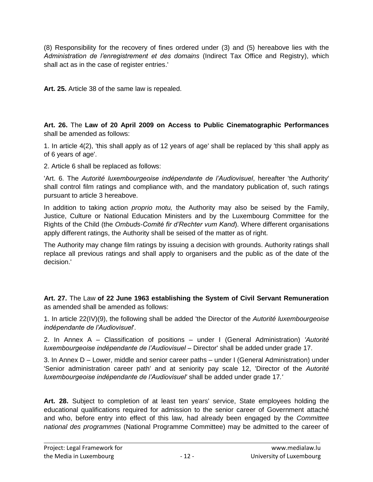(8) Responsibility for the recovery of fines ordered under (3) and (5) hereabove lies with the *Administration de l'enregistrement et des domains* (Indirect Tax Office and Registry), which shall act as in the case of register entries.'

**Art. 25.** Article 38 of the same law is repealed.

**Art. 26.** The **Law of 20 April 2009 on Access to Public Cinematographic Performances** shall be amended as follows:

1. In article 4(2), 'this shall apply as of 12 years of age' shall be replaced by 'this shall apply as of 6 years of age'.

2. Article 6 shall be replaced as follows:

'Art. 6. The *Autorité luxembourgeoise indépendante de l'Audiovisuel*, hereafter 'the Authority' shall control film ratings and compliance with, and the mandatory publication of, such ratings pursuant to article 3 hereabove.

In addition to taking action *proprio motu,* the Authority may also be seised by the Family, Justice, Culture or National Education Ministers and by the Luxembourg Committee for the Rights of the Child (the *Ombuds-Comité fir d'Rechter vum Kand*). Where different organisations apply different ratings, the Authority shall be seised of the matter as of right.

The Authority may change film ratings by issuing a decision with grounds. Authority ratings shall replace all previous ratings and shall apply to organisers and the public as of the date of the decision.'

**Art. 27.** The Law **of 22 June 1963 establishing the System of Civil Servant Remuneration** as amended shall be amended as follows:

1. In article 22(IV)(9), the following shall be added 'the Director of the *Autorité luxembourgeoise indépendante de l'Audiovisuel*'.

2. In Annex A – Classification of positions – under I (General Administration) *'Autorité luxembourgeoise indépendante de l'Audiovisuel* – Director' shall be added under grade 17.

3. In Annex D – Lower, middle and senior career paths – under I (General Administration) under 'Senior administration career path' and at seniority pay scale 12, 'Director of the *Autorité luxembourgeoise indépendante de l'Audiovisuel'* shall be added under grade 17*.'*

**Art. 28.** Subject to completion of at least ten years' service, State employees holding the educational qualifications required for admission to the senior career of Government attaché and who, before entry into effect of this law, had already been engaged by the *Committee national des programmes* (National Programme Committee) may be admitted to the career of